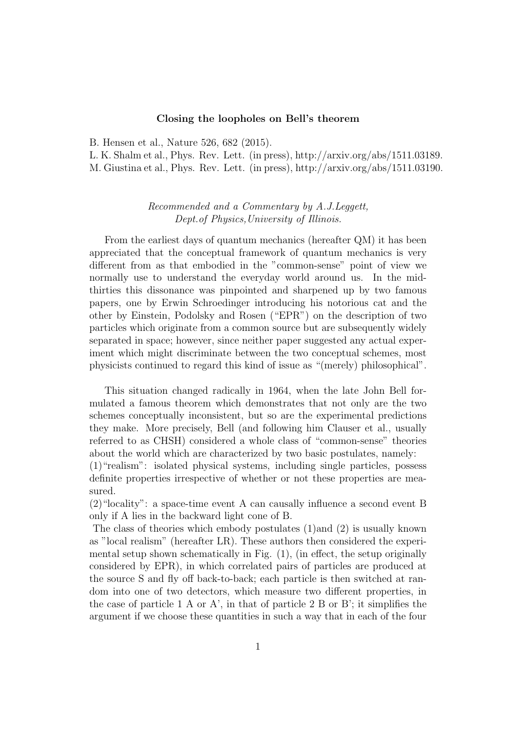## Closing the loopholes on Bell's theorem

B. Hensen et al., Nature 526, 682 (2015).

L. K. Shalm et al., Phys. Rev. Lett. (in press), http://arxiv.org/abs/1511.03189. M. Giustina et al., Phys. Rev. Lett. (in press), http://arxiv.org/abs/1511.03190.

## Recommended and a Commentary by A.J.Leggett, Dept.of Physics,University of Illinois.

From the earliest days of quantum mechanics (hereafter QM) it has been appreciated that the conceptual framework of quantum mechanics is very different from as that embodied in the "common-sense" point of view we normally use to understand the everyday world around us. In the midthirties this dissonance was pinpointed and sharpened up by two famous papers, one by Erwin Schroedinger introducing his notorious cat and the other by Einstein, Podolsky and Rosen ("EPR") on the description of two particles which originate from a common source but are subsequently widely separated in space; however, since neither paper suggested any actual experiment which might discriminate between the two conceptual schemes, most physicists continued to regard this kind of issue as "(merely) philosophical".

This situation changed radically in 1964, when the late John Bell formulated a famous theorem which demonstrates that not only are the two schemes conceptually inconsistent, but so are the experimental predictions they make. More precisely, Bell (and following him Clauser et al., usually referred to as CHSH) considered a whole class of "common-sense" theories about the world which are characterized by two basic postulates, namely:

(1)"realism": isolated physical systems, including single particles, possess definite properties irrespective of whether or not these properties are measured.

(2)"locality": a space-time event A can causally influence a second event B only if A lies in the backward light cone of B.

The class of theories which embody postulates (1)and (2) is usually known as "local realism" (hereafter LR). These authors then considered the experimental setup shown schematically in Fig. (1), (in effect, the setup originally considered by EPR), in which correlated pairs of particles are produced at the source S and fly off back-to-back; each particle is then switched at random into one of two detectors, which measure two different properties, in the case of particle 1 A or A', in that of particle 2 B or B'; it simplifies the argument if we choose these quantities in such a way that in each of the four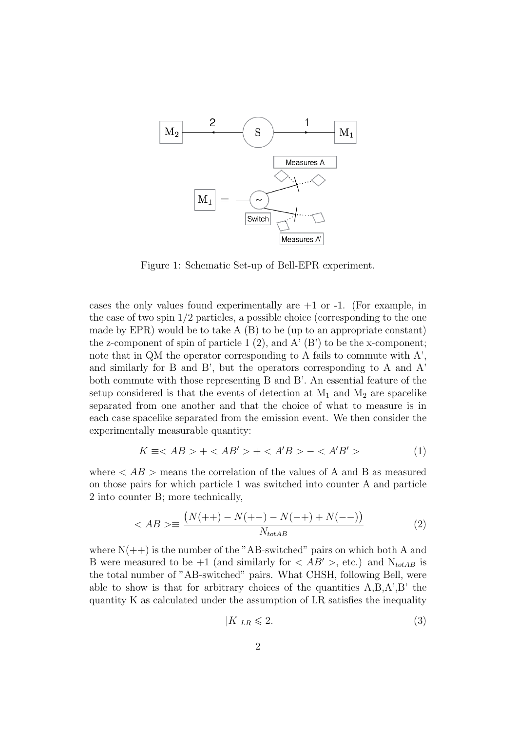

Figure 1: Schematic Set-up of Bell-EPR experiment.

cases the only values found experimentally are  $+1$  or  $-1$ . (For example, in the case of two spin  $1/2$  particles, a possible choice (corresponding to the one made by EPR) would be to take  $A(B)$  to be (up to an appropriate constant) the z-component of spin of particle 1  $(2)$ , and A'  $(B')$  to be the x-component; note that in QM the operator corresponding to A fails to commute with A', and similarly for B and B', but the operators corresponding to A and A' both commute with those representing B and B'. An essential feature of the setup considered is that the events of detection at  $M_1$  and  $M_2$  are spacelike separated from one another and that the choice of what to measure is in each case spacelike separated from the emission event. We then consider the experimentally measurable quantity:

$$
K \equiv \langle AB \rangle + \langle AB' \rangle + \langle A'B \rangle - \langle A'B' \rangle \tag{1}
$$

where  $\langle AB \rangle$  means the correlation of the values of A and B as measured on those pairs for which particle 1 was switched into counter A and particle 2 into counter B; more technically,

$$
\langle AB \rangle \equiv \frac{(N(++) - N(+-) - N(-+) + N(--))}{N_{totAB}} \tag{2}
$$

where  $N(++)$  is the number of the "AB-switched" pairs on which both A and B were measured to be  $+1$  (and similarly for  $\langle AB' \rangle$ , etc.) and  $N_{totAB}$  is the total number of "AB-switched" pairs. What CHSH, following Bell, were able to show is that for arbitrary choices of the quantities  $A, B, A', B'$  the quantity K as calculated under the assumption of LR satisfies the inequality

$$
|K|_{LR} \leqslant 2.\tag{3}
$$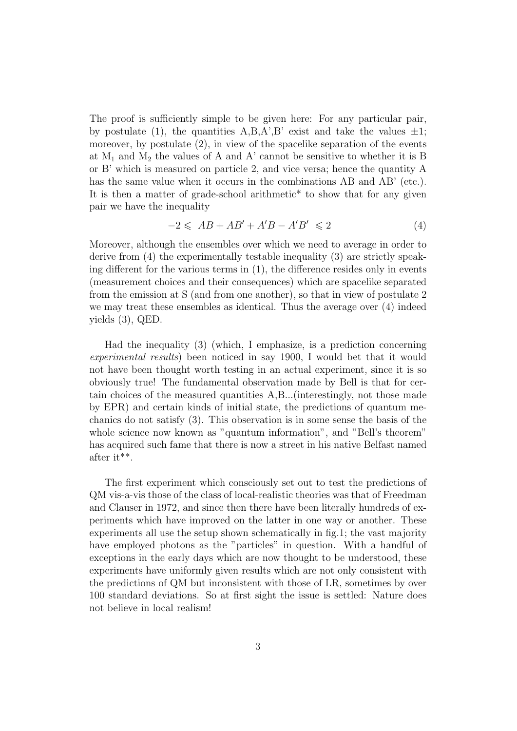The proof is sufficiently simple to be given here: For any particular pair, by postulate (1), the quantities  $A, B, A', B'$  exist and take the values  $\pm 1$ ; moreover, by postulate  $(2)$ , in view of the spacelike separation of the events at  $M_1$  and  $M_2$  the values of A and A' cannot be sensitive to whether it is B or B' which is measured on particle 2, and vice versa; hence the quantity A has the same value when it occurs in the combinations AB and AB' (etc.). It is then a matter of grade-school arithmetic\* to show that for any given pair we have the inequality

$$
-2 \leq AB + AB' + A'B - A'B' \leq 2 \tag{4}
$$

Moreover, although the ensembles over which we need to average in order to derive from (4) the experimentally testable inequality (3) are strictly speaking different for the various terms in (1), the difference resides only in events (measurement choices and their consequences) which are spacelike separated from the emission at S (and from one another), so that in view of postulate 2 we may treat these ensembles as identical. Thus the average over (4) indeed yields (3), QED.

Had the inequality (3) (which, I emphasize, is a prediction concerning experimental results) been noticed in say 1900, I would bet that it would not have been thought worth testing in an actual experiment, since it is so obviously true! The fundamental observation made by Bell is that for certain choices of the measured quantities A,B...(interestingly, not those made by EPR) and certain kinds of initial state, the predictions of quantum mechanics do not satisfy (3). This observation is in some sense the basis of the whole science now known as "quantum information", and "Bell's theorem" has acquired such fame that there is now a street in his native Belfast named after it\*\*.

The first experiment which consciously set out to test the predictions of QM vis-a-vis those of the class of local-realistic theories was that of Freedman and Clauser in 1972, and since then there have been literally hundreds of experiments which have improved on the latter in one way or another. These experiments all use the setup shown schematically in fig.1; the vast majority have employed photons as the "particles" in question. With a handful of exceptions in the early days which are now thought to be understood, these experiments have uniformly given results which are not only consistent with the predictions of QM but inconsistent with those of LR, sometimes by over 100 standard deviations. So at first sight the issue is settled: Nature does not believe in local realism!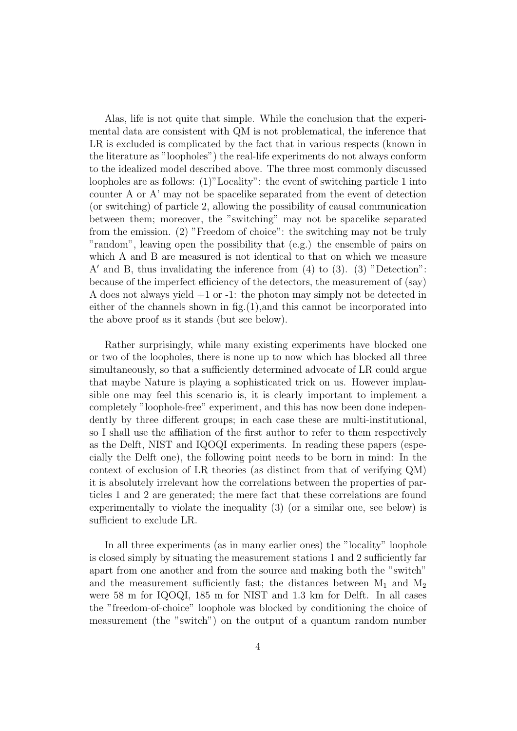Alas, life is not quite that simple. While the conclusion that the experimental data are consistent with QM is not problematical, the inference that LR is excluded is complicated by the fact that in various respects (known in the literature as "loopholes") the real-life experiments do not always conform to the idealized model described above. The three most commonly discussed loopholes are as follows: (1)"Locality": the event of switching particle 1 into counter A or A' may not be spacelike separated from the event of detection (or switching) of particle 2, allowing the possibility of causal communication between them; moreover, the "switching" may not be spacelike separated from the emission. (2) "Freedom of choice": the switching may not be truly "random", leaving open the possibility that (e.g.) the ensemble of pairs on which A and B are measured is not identical to that on which we measure A' and B, thus invalidating the inference from  $(4)$  to  $(3)$ .  $(3)$  "Detection": because of the imperfect efficiency of the detectors, the measurement of (say) A does not always yield +1 or -1: the photon may simply not be detected in either of the channels shown in fig.(1),and this cannot be incorporated into the above proof as it stands (but see below).

Rather surprisingly, while many existing experiments have blocked one or two of the loopholes, there is none up to now which has blocked all three simultaneously, so that a sufficiently determined advocate of LR could argue that maybe Nature is playing a sophisticated trick on us. However implausible one may feel this scenario is, it is clearly important to implement a completely "loophole-free" experiment, and this has now been done independently by three different groups; in each case these are multi-institutional, so I shall use the affiliation of the first author to refer to them respectively as the Delft, NIST and IQOQI experiments. In reading these papers (especially the Delft one), the following point needs to be born in mind: In the context of exclusion of LR theories (as distinct from that of verifying QM) it is absolutely irrelevant how the correlations between the properties of particles 1 and 2 are generated; the mere fact that these correlations are found experimentally to violate the inequality (3) (or a similar one, see below) is sufficient to exclude LR.

In all three experiments (as in many earlier ones) the "locality" loophole is closed simply by situating the measurement stations 1 and 2 sufficiently far apart from one another and from the source and making both the "switch" and the measurement sufficiently fast; the distances between  $M_1$  and  $M_2$ were 58 m for IQOQI, 185 m for NIST and 1.3 km for Delft. In all cases the "freedom-of-choice" loophole was blocked by conditioning the choice of measurement (the "switch") on the output of a quantum random number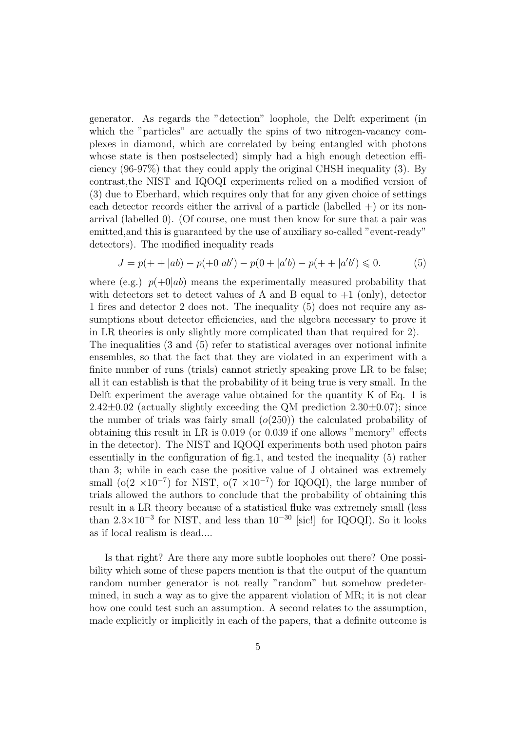generator. As regards the "detection" loophole, the Delft experiment (in which the "particles" are actually the spins of two nitrogen-vacancy complexes in diamond, which are correlated by being entangled with photons whose state is then postselected) simply had a high enough detection efficiency (96-97%) that they could apply the original CHSH inequality (3). By contrast,the NIST and IQOQI experiments relied on a modified version of (3) due to Eberhard, which requires only that for any given choice of settings each detector records either the arrival of a particle (labelled  $+)$  or its nonarrival (labelled 0). (Of course, one must then know for sure that a pair was emitted,and this is guaranteed by the use of auxiliary so-called "event-ready" detectors). The modified inequality reads

$$
J = p(+ + |ab) - p(+0|ab') - p(0 + |a'b) - p(+ + |a'b') \le 0.
$$
 (5)

where (e.g.)  $p(+0|ab)$  means the experimentally measured probability that with detectors set to detect values of A and B equal to  $+1$  (only), detector 1 fires and detector 2 does not. The inequality (5) does not require any assumptions about detector efficiencies, and the algebra necessary to prove it in LR theories is only slightly more complicated than that required for 2).

The inequalities (3 and (5) refer to statistical averages over notional infinite ensembles, so that the fact that they are violated in an experiment with a finite number of runs (trials) cannot strictly speaking prove LR to be false; all it can establish is that the probability of it being true is very small. In the Delft experiment the average value obtained for the quantity K of Eq. 1 is  $2.42\pm0.02$  (actually slightly exceeding the QM prediction  $2.30\pm0.07$ ); since the number of trials was fairly small  $(o(250))$  the calculated probability of obtaining this result in LR is 0.019 (or 0.039 if one allows "memory" effects in the detector). The NIST and IQOQI experiments both used photon pairs essentially in the configuration of fig.1, and tested the inequality (5) rather than 3; while in each case the positive value of J obtained was extremely small (o(2  $\times 10^{-7}$ ) for NIST, o(7  $\times 10^{-7}$ ) for IQOQI), the large number of trials allowed the authors to conclude that the probability of obtaining this result in a LR theory because of a statistical fluke was extremely small (less than  $2.3 \times 10^{-3}$  for NIST, and less than  $10^{-30}$  [sic!] for IQOQI). So it looks as if local realism is dead....

Is that right? Are there any more subtle loopholes out there? One possibility which some of these papers mention is that the output of the quantum random number generator is not really "random" but somehow predetermined, in such a way as to give the apparent violation of MR; it is not clear how one could test such an assumption. A second relates to the assumption, made explicitly or implicitly in each of the papers, that a definite outcome is